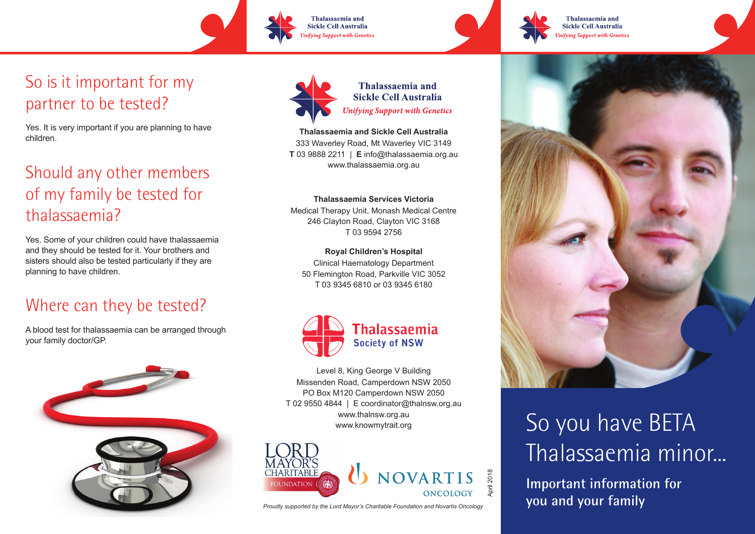So is it important for my partner to be tested?

Yes. It is very important if you are planning to have children.

### Should any other members of my family be tested for thalassaemia?

Yes. Some of your children could have thalassaemia and they should be tested for it. Your brothers and sisters should also be tested particularly if they are planning to have children.

#### Where can they be tested?

A blood test for thalassaemia can be arranged through your family doctor/GP.





Thalassaemia and

Sickle Cell Australia

**Unifying Support with Genetics** 

**Thalassaemia and Sickle Cell Australia**

333 Waverley Road, Mt Waverley VIC 3149 **T** 03 9888 2211 | **E** info@thalassaemia.org.au www.thalassaemia.org.au

#### **Thalassaemia Services Victoria**

Medical Therapy Unit, Monash Medical Centre 246 Clayton Road, Clayton VIC 3168 T 03 9594 2756

**Royal Children's Hospital** Clinical Haematology Department 50 Flemington Road, Parkville VIC 3052 T 03 9345 6810 or 03 9345 6180



Level 8, King George V Building Missenden Road, Camperdown NSW 2050 PO Box M120 Camperdown NSW 2050 T 02 9550 4844 | E coordinator@thalnsw.org.au www.thalnsw.org.au www.knowmytrait.org





Thalassaemia and

Sickle Cell Australia

**Unifying Support with Genetics** 

# So you have BETA Thalassaemia minor...

**Important information for**